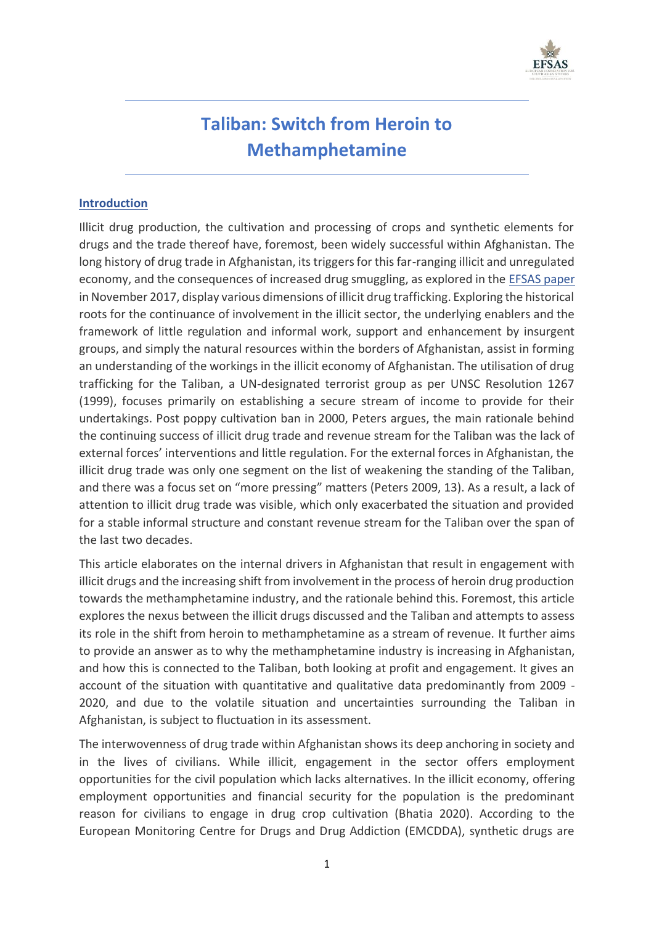

# **Taliban: Switch from Heroin to Methamphetamine**

### **Introduction**

Illicit drug production, the cultivation and processing of crops and synthetic elements for drugs and the trade thereof have, foremost, been widely successful within Afghanistan. The long history of drug trade in Afghanistan, its triggers for this far-ranging illicit and unregulated economy, and the consequences of increased drug smuggling, as explored in the [EFSAS paper](https://www.efsas.org/publications/study-papers/%E2%80%98narco-jihad%E2%80%99-%E2%80%93-haram-money-for-a-halal-cause/) in November 2017, display various dimensions of illicit drug trafficking. Exploring the historical roots for the continuance of involvement in the illicit sector, the underlying enablers and the framework of little regulation and informal work, support and enhancement by insurgent groups, and simply the natural resources within the borders of Afghanistan, assist in forming an understanding of the workings in the illicit economy of Afghanistan. The utilisation of drug trafficking for the Taliban, a UN-designated terrorist group as per UNSC Resolution 1267 (1999), focuses primarily on establishing a secure stream of income to provide for their undertakings. Post poppy cultivation ban in 2000, Peters argues, the main rationale behind the continuing success of illicit drug trade and revenue stream for the Taliban was the lack of external forces' interventions and little regulation. For the external forces in Afghanistan, the illicit drug trade was only one segment on the list of weakening the standing of the Taliban, and there was a focus set on "more pressing" matters (Peters 2009, 13). As a result, a lack of attention to illicit drug trade was visible, which only exacerbated the situation and provided for a stable informal structure and constant revenue stream for the Taliban over the span of the last two decades.

This article elaborates on the internal drivers in Afghanistan that result in engagement with illicit drugs and the increasing shift from involvement in the process of heroin drug production towards the methamphetamine industry, and the rationale behind this. Foremost, this article explores the nexus between the illicit drugs discussed and the Taliban and attempts to assess its role in the shift from heroin to methamphetamine as a stream of revenue. It further aims to provide an answer as to why the methamphetamine industry is increasing in Afghanistan, and how this is connected to the Taliban, both looking at profit and engagement. It gives an account of the situation with quantitative and qualitative data predominantly from 2009 - 2020, and due to the volatile situation and uncertainties surrounding the Taliban in Afghanistan, is subject to fluctuation in its assessment.

The interwovenness of drug trade within Afghanistan shows its deep anchoring in society and in the lives of civilians. While illicit, engagement in the sector offers employment opportunities for the civil population which lacks alternatives. In the illicit economy, offering employment opportunities and financial security for the population is the predominant reason for civilians to engage in drug crop cultivation (Bhatia 2020). According to the European Monitoring Centre for Drugs and Drug Addiction (EMCDDA), synthetic drugs are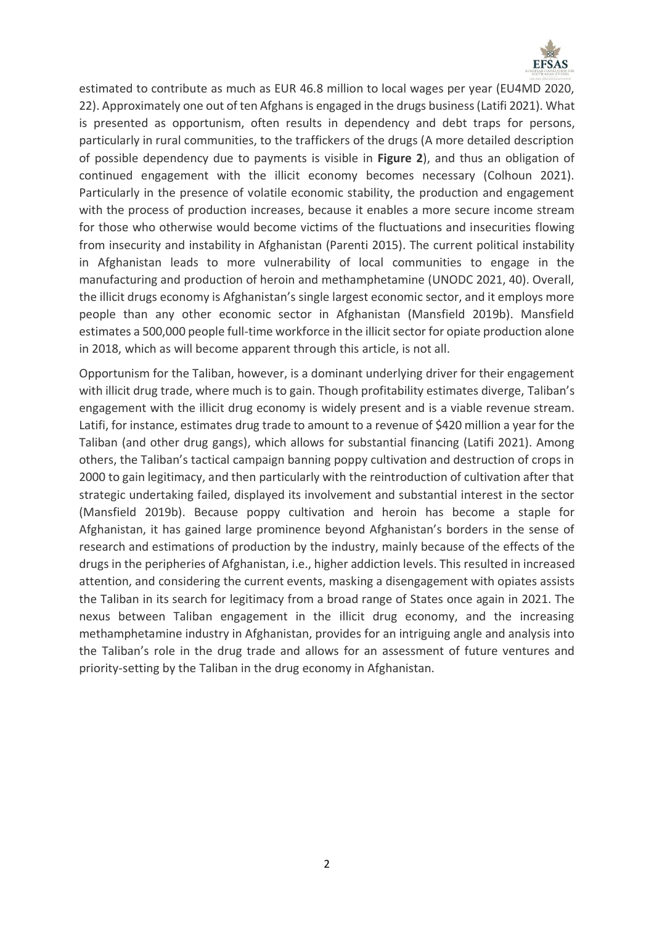

estimated to contribute as much as EUR 46.8 million to local wages per year (EU4MD 2020, 22). Approximately one out of ten Afghans is engaged in the drugs business (Latifi 2021). What is presented as opportunism, often results in dependency and debt traps for persons, particularly in rural communities, to the traffickers of the drugs (A more detailed description of possible dependency due to payments is visible in **Figure 2**), and thus an obligation of continued engagement with the illicit economy becomes necessary (Colhoun 2021). Particularly in the presence of volatile economic stability, the production and engagement with the process of production increases, because it enables a more secure income stream for those who otherwise would become victims of the fluctuations and insecurities flowing from insecurity and instability in Afghanistan (Parenti 2015). The current political instability in Afghanistan leads to more vulnerability of local communities to engage in the manufacturing and production of heroin and methamphetamine (UNODC 2021, 40). Overall, the illicit drugs economy is Afghanistan's single largest economic sector, and it employs more people than any other economic sector in Afghanistan (Mansfield 2019b). Mansfield estimates a 500,000 people full-time workforce in the illicit sector for opiate production alone in 2018, which as will become apparent through this article, is not all.

Opportunism for the Taliban, however, is a dominant underlying driver for their engagement with illicit drug trade, where much is to gain. Though profitability estimates diverge, Taliban's engagement with the illicit drug economy is widely present and is a viable revenue stream. Latifi, for instance, estimates drug trade to amount to a revenue of \$420 million a year for the Taliban (and other drug gangs), which allows for substantial financing (Latifi 2021). Among others, the Taliban's tactical campaign banning poppy cultivation and destruction of crops in 2000 to gain legitimacy, and then particularly with the reintroduction of cultivation after that strategic undertaking failed, displayed its involvement and substantial interest in the sector (Mansfield 2019b). Because poppy cultivation and heroin has become a staple for Afghanistan, it has gained large prominence beyond Afghanistan's borders in the sense of research and estimations of production by the industry, mainly because of the effects of the drugs in the peripheries of Afghanistan, i.e., higher addiction levels. This resulted in increased attention, and considering the current events, masking a disengagement with opiates assists the Taliban in its search for legitimacy from a broad range of States once again in 2021. The nexus between Taliban engagement in the illicit drug economy, and the increasing methamphetamine industry in Afghanistan, provides for an intriguing angle and analysis into the Taliban's role in the drug trade and allows for an assessment of future ventures and priority-setting by the Taliban in the drug economy in Afghanistan.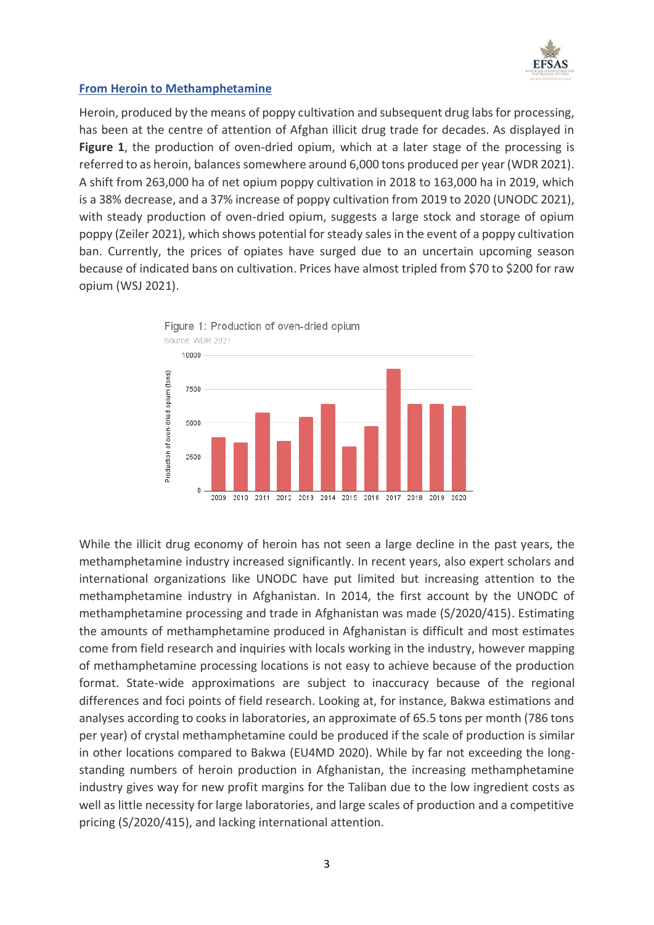

### **From Heroin to Methamphetamine**

Heroin, produced by the means of poppy cultivation and subsequent drug labs for processing, has been at the centre of attention of Afghan illicit drug trade for decades. As displayed in **Figure 1**, the production of oven-dried opium, which at a later stage of the processing is referred to as heroin, balances somewhere around 6,000 tons produced per year (WDR 2021). A shift from 263,000 ha of net opium poppy cultivation in 2018 to 163,000 ha in 2019, which is a 38% decrease, and a 37% increase of poppy cultivation from 2019 to 2020 (UNODC 2021), with steady production of oven-dried opium, suggests a large stock and storage of opium poppy (Zeiler 2021), which shows potential for steady sales in the event of a poppy cultivation ban. Currently, the prices of opiates have surged due to an uncertain upcoming season because of indicated bans on cultivation. Prices have almost tripled from \$70 to \$200 for raw opium (WSJ 2021).



While the illicit drug economy of heroin has not seen a large decline in the past years, the methamphetamine industry increased significantly. In recent years, also expert scholars and international organizations like UNODC have put limited but increasing attention to the methamphetamine industry in Afghanistan. In 2014, the first account by the UNODC of methamphetamine processing and trade in Afghanistan was made (S/2020/415). Estimating the amounts of methamphetamine produced in Afghanistan is difficult and most estimates come from field research and inquiries with locals working in the industry, however mapping of methamphetamine processing locations is not easy to achieve because of the production format. State-wide approximations are subject to inaccuracy because of the regional differences and foci points of field research. Looking at, for instance, Bakwa estimations and analyses according to cooks in laboratories, an approximate of 65.5 tons per month (786 tons per year) of crystal methamphetamine could be produced if the scale of production is similar in other locations compared to Bakwa (EU4MD 2020). While by far not exceeding the longstanding numbers of heroin production in Afghanistan, the increasing methamphetamine industry gives way for new profit margins for the Taliban due to the low ingredient costs as well as little necessity for large laboratories, and large scales of production and a competitive pricing (S/2020/415), and lacking international attention.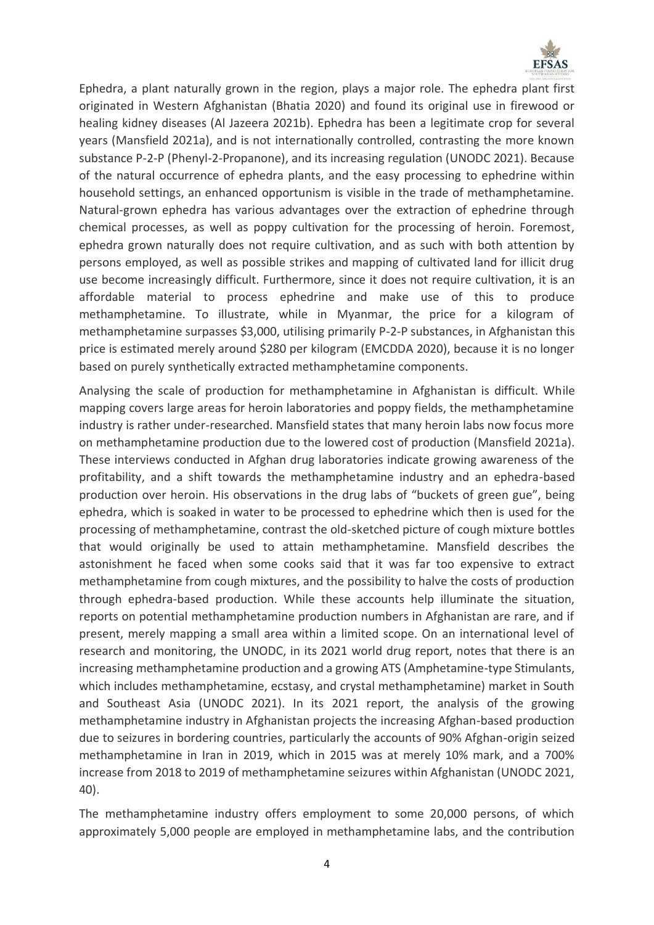

Ephedra, a plant naturally grown in the region, plays a major role. The ephedra plant first originated in Western Afghanistan (Bhatia 2020) and found its original use in firewood or healing kidney diseases (Al Jazeera 2021b). Ephedra has been a legitimate crop for several years (Mansfield 2021a), and is not internationally controlled, contrasting the more known substance P-2-P (Phenyl-2-Propanone), and its increasing regulation (UNODC 2021). Because of the natural occurrence of ephedra plants, and the easy processing to ephedrine within household settings, an enhanced opportunism is visible in the trade of methamphetamine. Natural-grown ephedra has various advantages over the extraction of ephedrine through chemical processes, as well as poppy cultivation for the processing of heroin. Foremost, ephedra grown naturally does not require cultivation, and as such with both attention by persons employed, as well as possible strikes and mapping of cultivated land for illicit drug use become increasingly difficult. Furthermore, since it does not require cultivation, it is an affordable material to process ephedrine and make use of this to produce methamphetamine. To illustrate, while in Myanmar, the price for a kilogram of methamphetamine surpasses \$3,000, utilising primarily P-2-P substances, in Afghanistan this price is estimated merely around \$280 per kilogram (EMCDDA 2020), because it is no longer based on purely synthetically extracted methamphetamine components.

Analysing the scale of production for methamphetamine in Afghanistan is difficult. While mapping covers large areas for heroin laboratories and poppy fields, the methamphetamine industry is rather under-researched. Mansfield states that many heroin labs now focus more on methamphetamine production due to the lowered cost of production (Mansfield 2021a). These interviews conducted in Afghan drug laboratories indicate growing awareness of the profitability, and a shift towards the methamphetamine industry and an ephedra-based production over heroin. His observations in the drug labs of "buckets of green gue", being ephedra, which is soaked in water to be processed to ephedrine which then is used for the processing of methamphetamine, contrast the old-sketched picture of cough mixture bottles that would originally be used to attain methamphetamine. Mansfield describes the astonishment he faced when some cooks said that it was far too expensive to extract methamphetamine from cough mixtures, and the possibility to halve the costs of production through ephedra-based production. While these accounts help illuminate the situation, reports on potential methamphetamine production numbers in Afghanistan are rare, and if present, merely mapping a small area within a limited scope. On an international level of research and monitoring, the UNODC, in its 2021 world drug report, notes that there is an increasing methamphetamine production and a growing ATS (Amphetamine-type Stimulants, which includes methamphetamine, ecstasy, and crystal methamphetamine) market in South and Southeast Asia (UNODC 2021). In its 2021 report, the analysis of the growing methamphetamine industry in Afghanistan projects the increasing Afghan-based production due to seizures in bordering countries, particularly the accounts of 90% Afghan-origin seized methamphetamine in Iran in 2019, which in 2015 was at merely 10% mark, and a 700% increase from 2018 to 2019 of methamphetamine seizures within Afghanistan (UNODC 2021, 40).

The methamphetamine industry offers employment to some 20,000 persons, of which approximately 5,000 people are employed in methamphetamine labs, and the contribution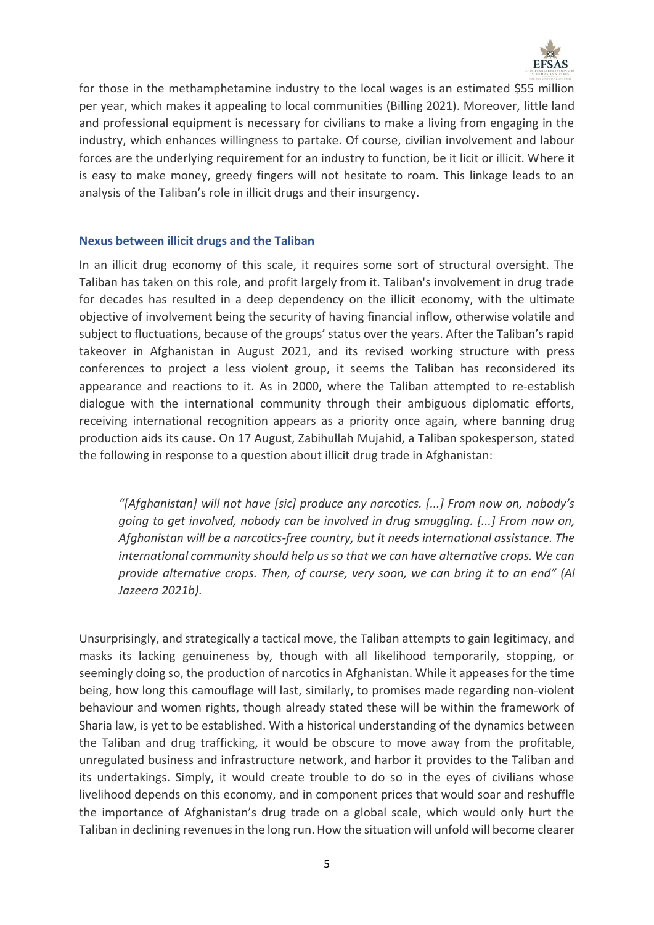

for those in the methamphetamine industry to the local wages is an estimated \$55 million per year, which makes it appealing to local communities (Billing 2021). Moreover, little land and professional equipment is necessary for civilians to make a living from engaging in the industry, which enhances willingness to partake. Of course, civilian involvement and labour forces are the underlying requirement for an industry to function, be it licit or illicit. Where it is easy to make money, greedy fingers will not hesitate to roam. This linkage leads to an analysis of the Taliban's role in illicit drugs and their insurgency.

### **Nexus between illicit drugs and the Taliban**

In an illicit drug economy of this scale, it requires some sort of structural oversight. The Taliban has taken on this role, and profit largely from it. Taliban's involvement in drug trade for decades has resulted in a deep dependency on the illicit economy, with the ultimate objective of involvement being the security of having financial inflow, otherwise volatile and subject to fluctuations, because of the groups' status over the years. After the Taliban's rapid takeover in Afghanistan in August 2021, and its revised working structure with press conferences to project a less violent group, it seems the Taliban has reconsidered its appearance and reactions to it. As in 2000, where the Taliban attempted to re-establish dialogue with the international community through their ambiguous diplomatic efforts, receiving international recognition appears as a priority once again, where banning drug production aids its cause. On 17 August, Zabihullah Mujahid, a Taliban spokesperson, stated the following in response to a question about illicit drug trade in Afghanistan:

*"[Afghanistan] will not have [sic] produce any narcotics. [...] From now on, nobody's going to get involved, nobody can be involved in drug smuggling. [...] From now on, Afghanistan will be a narcotics-free country, but it needs international assistance. The international community should help us so that we can have alternative crops. We can provide alternative crops. Then, of course, very soon, we can bring it to an end" (Al Jazeera 2021b).*

Unsurprisingly, and strategically a tactical move, the Taliban attempts to gain legitimacy, and masks its lacking genuineness by, though with all likelihood temporarily, stopping, or seemingly doing so, the production of narcotics in Afghanistan. While it appeases for the time being, how long this camouflage will last, similarly, to promises made regarding non-violent behaviour and women rights, though already stated these will be within the framework of Sharia law, is yet to be established. With a historical understanding of the dynamics between the Taliban and drug trafficking, it would be obscure to move away from the profitable, unregulated business and infrastructure network, and harbor it provides to the Taliban and its undertakings. Simply, it would create trouble to do so in the eyes of civilians whose livelihood depends on this economy, and in component prices that would soar and reshuffle the importance of Afghanistan's drug trade on a global scale, which would only hurt the Taliban in declining revenues in the long run. How the situation will unfold will become clearer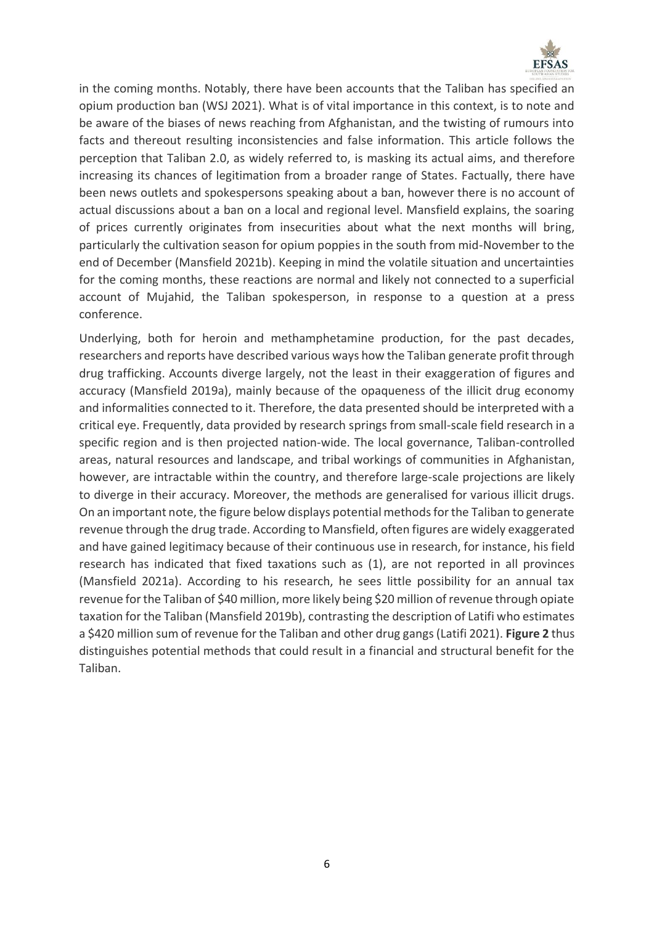

in the coming months. Notably, there have been accounts that the Taliban has specified an opium production ban (WSJ 2021). What is of vital importance in this context, is to note and be aware of the biases of news reaching from Afghanistan, and the twisting of rumours into facts and thereout resulting inconsistencies and false information. This article follows the perception that Taliban 2.0, as widely referred to, is masking its actual aims, and therefore increasing its chances of legitimation from a broader range of States. Factually, there have been news outlets and spokespersons speaking about a ban, however there is no account of actual discussions about a ban on a local and regional level. Mansfield explains, the soaring of prices currently originates from insecurities about what the next months will bring, particularly the cultivation season for opium poppies in the south from mid-November to the end of December (Mansfield 2021b). Keeping in mind the volatile situation and uncertainties for the coming months, these reactions are normal and likely not connected to a superficial account of Mujahid, the Taliban spokesperson, in response to a question at a press conference.

Underlying, both for heroin and methamphetamine production, for the past decades, researchers and reports have described various ways how the Taliban generate profit through drug trafficking. Accounts diverge largely, not the least in their exaggeration of figures and accuracy (Mansfield 2019a), mainly because of the opaqueness of the illicit drug economy and informalities connected to it. Therefore, the data presented should be interpreted with a critical eye. Frequently, data provided by research springs from small-scale field research in a specific region and is then projected nation-wide. The local governance, Taliban-controlled areas, natural resources and landscape, and tribal workings of communities in Afghanistan, however, are intractable within the country, and therefore large-scale projections are likely to diverge in their accuracy. Moreover, the methods are generalised for various illicit drugs. On an important note, the figure below displays potential methods for the Taliban to generate revenue through the drug trade. According to Mansfield, often figures are widely exaggerated and have gained legitimacy because of their continuous use in research, for instance, his field research has indicated that fixed taxations such as (1), are not reported in all provinces (Mansfield 2021a). According to his research, he sees little possibility for an annual tax revenue for the Taliban of \$40 million, more likely being \$20 million of revenue through opiate taxation for the Taliban (Mansfield 2019b), contrasting the description of Latifi who estimates a \$420 million sum of revenue for the Taliban and other drug gangs (Latifi 2021). **Figure 2** thus distinguishes potential methods that could result in a financial and structural benefit for the Taliban.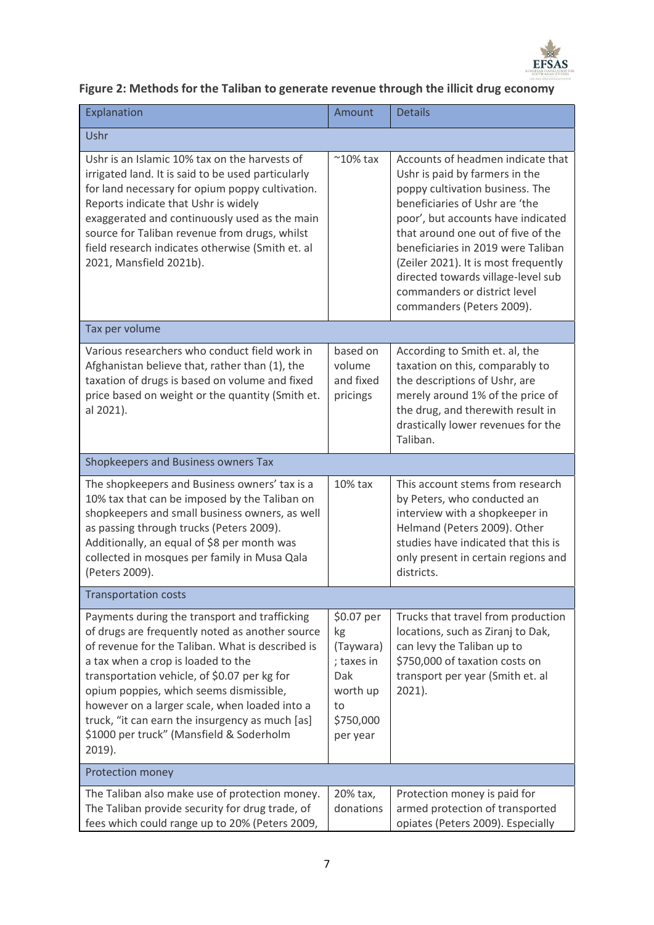

## **Figure 2: Methods for the Taliban to generate revenue through the illicit drug economy**

| Explanation                                                                                                                                                                                                                                                                                                                                                                                                                                     | Amount                                                                                        | <b>Details</b>                                                                                                                                                                                                                                                                                                                                                                                        |  |
|-------------------------------------------------------------------------------------------------------------------------------------------------------------------------------------------------------------------------------------------------------------------------------------------------------------------------------------------------------------------------------------------------------------------------------------------------|-----------------------------------------------------------------------------------------------|-------------------------------------------------------------------------------------------------------------------------------------------------------------------------------------------------------------------------------------------------------------------------------------------------------------------------------------------------------------------------------------------------------|--|
| Ushr                                                                                                                                                                                                                                                                                                                                                                                                                                            |                                                                                               |                                                                                                                                                                                                                                                                                                                                                                                                       |  |
| Ushr is an Islamic 10% tax on the harvests of<br>irrigated land. It is said to be used particularly<br>for land necessary for opium poppy cultivation.<br>Reports indicate that Ushr is widely<br>exaggerated and continuously used as the main<br>source for Taliban revenue from drugs, whilst<br>field research indicates otherwise (Smith et. al<br>2021, Mansfield 2021b).                                                                 | $^{\sim}10\%$ tax                                                                             | Accounts of headmen indicate that<br>Ushr is paid by farmers in the<br>poppy cultivation business. The<br>beneficiaries of Ushr are 'the<br>poor', but accounts have indicated<br>that around one out of five of the<br>beneficiaries in 2019 were Taliban<br>(Zeiler 2021). It is most frequently<br>directed towards village-level sub<br>commanders or district level<br>commanders (Peters 2009). |  |
| Tax per volume                                                                                                                                                                                                                                                                                                                                                                                                                                  |                                                                                               |                                                                                                                                                                                                                                                                                                                                                                                                       |  |
| Various researchers who conduct field work in<br>Afghanistan believe that, rather than (1), the<br>taxation of drugs is based on volume and fixed<br>price based on weight or the quantity (Smith et.<br>al 2021).                                                                                                                                                                                                                              | based on<br>volume<br>and fixed<br>pricings                                                   | According to Smith et. al, the<br>taxation on this, comparably to<br>the descriptions of Ushr, are<br>merely around 1% of the price of<br>the drug, and therewith result in<br>drastically lower revenues for the<br>Taliban.                                                                                                                                                                         |  |
| Shopkeepers and Business owners Tax                                                                                                                                                                                                                                                                                                                                                                                                             |                                                                                               |                                                                                                                                                                                                                                                                                                                                                                                                       |  |
| The shopkeepers and Business owners' tax is a<br>10% tax that can be imposed by the Taliban on<br>shopkeepers and small business owners, as well<br>as passing through trucks (Peters 2009).<br>Additionally, an equal of \$8 per month was<br>collected in mosques per family in Musa Qala<br>(Peters 2009).                                                                                                                                   | 10% tax                                                                                       | This account stems from research<br>by Peters, who conducted an<br>interview with a shopkeeper in<br>Helmand (Peters 2009). Other<br>studies have indicated that this is<br>only present in certain regions and<br>districts.                                                                                                                                                                         |  |
| <b>Transportation costs</b>                                                                                                                                                                                                                                                                                                                                                                                                                     |                                                                                               |                                                                                                                                                                                                                                                                                                                                                                                                       |  |
| Payments during the transport and trafficking<br>of drugs are frequently noted as another source<br>of revenue for the Taliban. What is described is<br>a tax when a crop is loaded to the<br>transportation vehicle, of \$0.07 per kg for<br>opium poppies, which seems dismissible,<br>however on a larger scale, when loaded into a<br>truck, "it can earn the insurgency as much [as]<br>\$1000 per truck" (Mansfield & Soderholm<br>2019). | \$0.07 per<br>kg<br>(Taywara)<br>; taxes in<br>Dak<br>worth up<br>to<br>\$750,000<br>per year | Trucks that travel from production<br>locations, such as Ziranj to Dak,<br>can levy the Taliban up to<br>\$750,000 of taxation costs on<br>transport per year (Smith et. al<br>2021).                                                                                                                                                                                                                 |  |
| Protection money                                                                                                                                                                                                                                                                                                                                                                                                                                |                                                                                               |                                                                                                                                                                                                                                                                                                                                                                                                       |  |
| The Taliban also make use of protection money.<br>The Taliban provide security for drug trade, of<br>fees which could range up to 20% (Peters 2009,                                                                                                                                                                                                                                                                                             | 20% tax,<br>donations                                                                         | Protection money is paid for<br>armed protection of transported<br>opiates (Peters 2009). Especially                                                                                                                                                                                                                                                                                                  |  |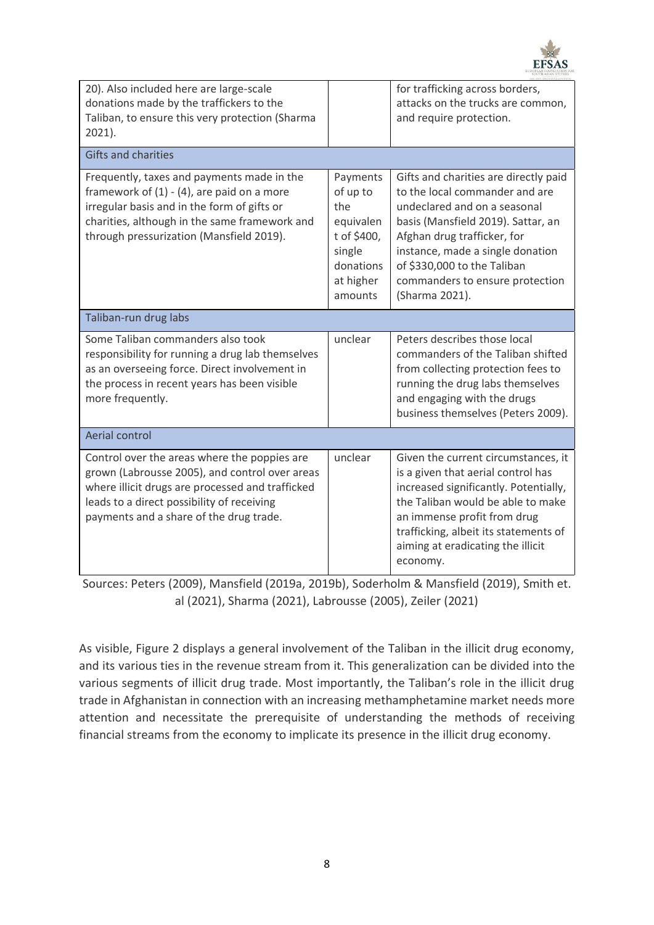

| 20). Also included here are large-scale<br>donations made by the traffickers to the<br>Taliban, to ensure this very protection (Sharma<br>2021).                                                                                            |                                                                                                        | for trafficking across borders,<br>attacks on the trucks are common,<br>and require protection.                                                                                                                                                                                                      |  |
|---------------------------------------------------------------------------------------------------------------------------------------------------------------------------------------------------------------------------------------------|--------------------------------------------------------------------------------------------------------|------------------------------------------------------------------------------------------------------------------------------------------------------------------------------------------------------------------------------------------------------------------------------------------------------|--|
| <b>Gifts and charities</b>                                                                                                                                                                                                                  |                                                                                                        |                                                                                                                                                                                                                                                                                                      |  |
| Frequently, taxes and payments made in the<br>framework of $(1) - (4)$ , are paid on a more<br>irregular basis and in the form of gifts or<br>charities, although in the same framework and<br>through pressurization (Mansfield 2019).     | Payments<br>of up to<br>the<br>equivalen<br>t of \$400,<br>single<br>donations<br>at higher<br>amounts | Gifts and charities are directly paid<br>to the local commander and are<br>undeclared and on a seasonal<br>basis (Mansfield 2019). Sattar, an<br>Afghan drug trafficker, for<br>instance, made a single donation<br>of \$330,000 to the Taliban<br>commanders to ensure protection<br>(Sharma 2021). |  |
| Taliban-run drug labs                                                                                                                                                                                                                       |                                                                                                        |                                                                                                                                                                                                                                                                                                      |  |
| Some Taliban commanders also took<br>responsibility for running a drug lab themselves<br>as an overseeing force. Direct involvement in<br>the process in recent years has been visible<br>more frequently.                                  | unclear                                                                                                | Peters describes those local<br>commanders of the Taliban shifted<br>from collecting protection fees to<br>running the drug labs themselves<br>and engaging with the drugs<br>business themselves (Peters 2009).                                                                                     |  |
| Aerial control                                                                                                                                                                                                                              |                                                                                                        |                                                                                                                                                                                                                                                                                                      |  |
| Control over the areas where the poppies are<br>grown (Labrousse 2005), and control over areas<br>where illicit drugs are processed and trafficked<br>leads to a direct possibility of receiving<br>payments and a share of the drug trade. | unclear                                                                                                | Given the current circumstances, it<br>is a given that aerial control has<br>increased significantly. Potentially,<br>the Taliban would be able to make<br>an immense profit from drug<br>trafficking, albeit its statements of<br>aiming at eradicating the illicit<br>economy.                     |  |

Sources: Peters (2009), Mansfield (2019a, 2019b), Soderholm & Mansfield (2019), Smith et. al (2021), Sharma (2021), Labrousse (2005), Zeiler (2021)

As visible, Figure 2 displays a general involvement of the Taliban in the illicit drug economy, and its various ties in the revenue stream from it. This generalization can be divided into the various segments of illicit drug trade. Most importantly, the Taliban's role in the illicit drug trade in Afghanistan in connection with an increasing methamphetamine market needs more attention and necessitate the prerequisite of understanding the methods of receiving financial streams from the economy to implicate its presence in the illicit drug economy.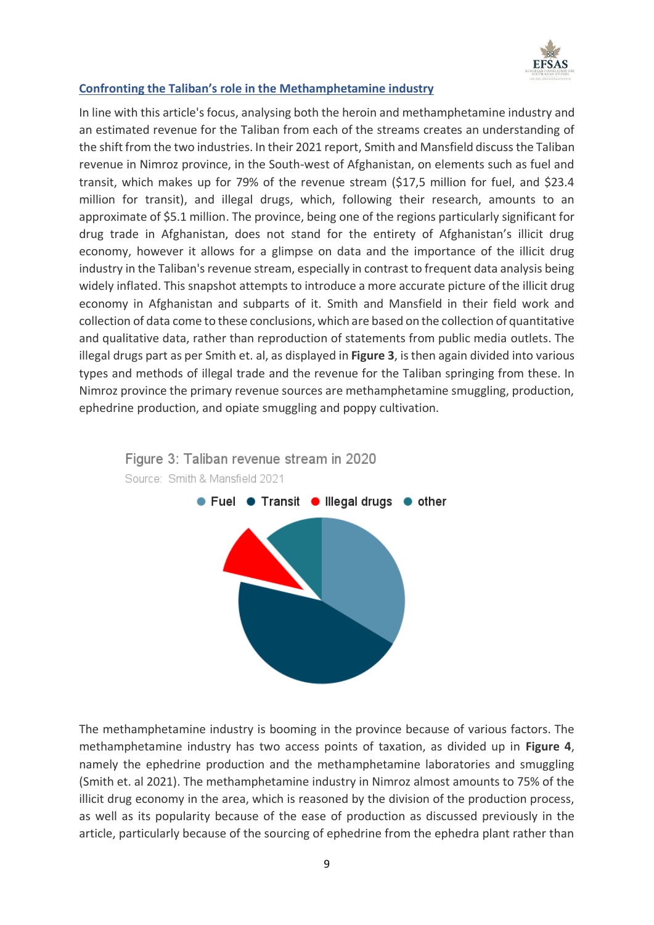

### **Confronting the Taliban's role in the Methamphetamine industry**

In line with this article's focus, analysing both the heroin and methamphetamine industry and an estimated revenue for the Taliban from each of the streams creates an understanding of the shift from the two industries. In their 2021 report, Smith and Mansfield discuss the Taliban revenue in Nimroz province, in the South-west of Afghanistan, on elements such as fuel and transit, which makes up for 79% of the revenue stream (\$17,5 million for fuel, and \$23.4 million for transit), and illegal drugs, which, following their research, amounts to an approximate of \$5.1 million. The province, being one of the regions particularly significant for drug trade in Afghanistan, does not stand for the entirety of Afghanistan's illicit drug economy, however it allows for a glimpse on data and the importance of the illicit drug industry in the Taliban's revenue stream, especially in contrast to frequent data analysis being widely inflated. This snapshot attempts to introduce a more accurate picture of the illicit drug economy in Afghanistan and subparts of it. Smith and Mansfield in their field work and collection of data come to these conclusions, which are based on the collection of quantitative and qualitative data, rather than reproduction of statements from public media outlets. The illegal drugs part as per Smith et. al, as displayed in **Figure 3**, is then again divided into various types and methods of illegal trade and the revenue for the Taliban springing from these. In Nimroz province the primary revenue sources are methamphetamine smuggling, production, ephedrine production, and opiate smuggling and poppy cultivation.



The methamphetamine industry is booming in the province because of various factors. The methamphetamine industry has two access points of taxation, as divided up in **Figure 4**, namely the ephedrine production and the methamphetamine laboratories and smuggling (Smith et. al 2021). The methamphetamine industry in Nimroz almost amounts to 75% of the illicit drug economy in the area, which is reasoned by the division of the production process, as well as its popularity because of the ease of production as discussed previously in the article, particularly because of the sourcing of ephedrine from the ephedra plant rather than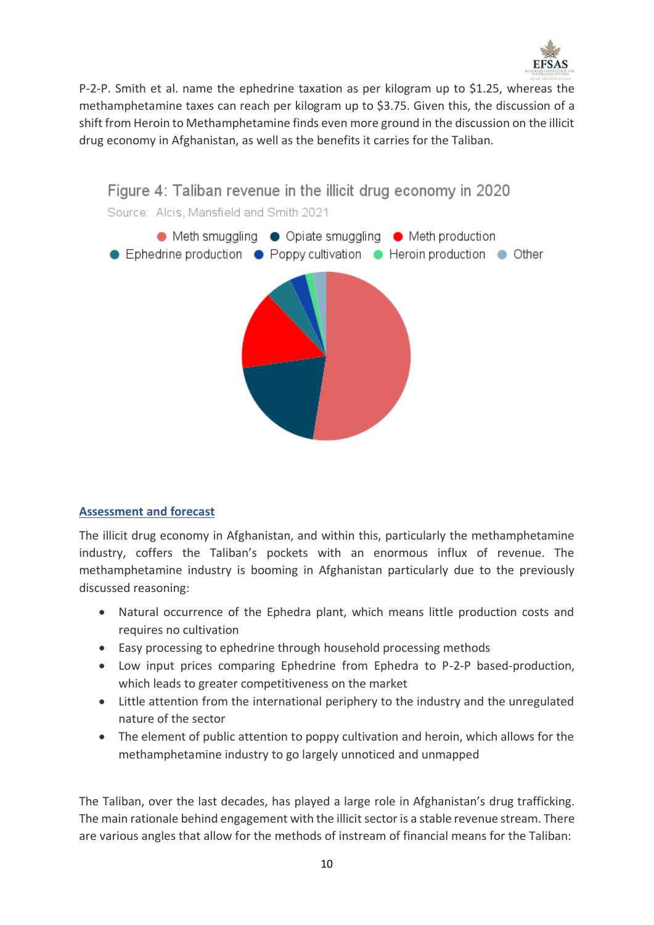

P-2-P. Smith et al. name the ephedrine taxation as per kilogram up to \$1.25, whereas the methamphetamine taxes can reach per kilogram up to \$3.75. Given this, the discussion of a shift from Heroin to Methamphetamine finds even more ground in the discussion on the illicit drug economy in Afghanistan, as well as the benefits it carries for the Taliban.



### **Assessment and forecast**

The illicit drug economy in Afghanistan, and within this, particularly the methamphetamine industry, coffers the Taliban's pockets with an enormous influx of revenue. The methamphetamine industry is booming in Afghanistan particularly due to the previously discussed reasoning:

- Natural occurrence of the Ephedra plant, which means little production costs and requires no cultivation
- Easy processing to ephedrine through household processing methods
- Low input prices comparing Ephedrine from Ephedra to P-2-P based-production, which leads to greater competitiveness on the market
- Little attention from the international periphery to the industry and the unregulated nature of the sector
- The element of public attention to poppy cultivation and heroin, which allows for the methamphetamine industry to go largely unnoticed and unmapped

The Taliban, over the last decades, has played a large role in Afghanistan's drug trafficking. The main rationale behind engagement with the illicit sector is a stable revenue stream. There are various angles that allow for the methods of instream of financial means for the Taliban: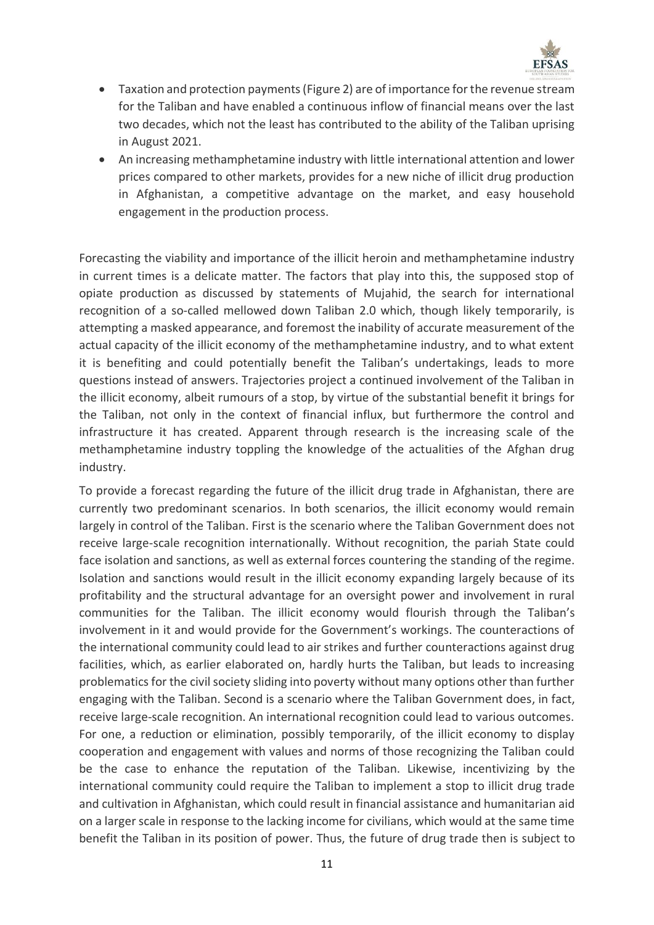

- Taxation and protection payments (Figure 2) are of importance for the revenue stream for the Taliban and have enabled a continuous inflow of financial means over the last two decades, which not the least has contributed to the ability of the Taliban uprising in August 2021.
- An increasing methamphetamine industry with little international attention and lower prices compared to other markets, provides for a new niche of illicit drug production in Afghanistan, a competitive advantage on the market, and easy household engagement in the production process.

Forecasting the viability and importance of the illicit heroin and methamphetamine industry in current times is a delicate matter. The factors that play into this, the supposed stop of opiate production as discussed by statements of Mujahid, the search for international recognition of a so-called mellowed down Taliban 2.0 which, though likely temporarily, is attempting a masked appearance, and foremost the inability of accurate measurement of the actual capacity of the illicit economy of the methamphetamine industry, and to what extent it is benefiting and could potentially benefit the Taliban's undertakings, leads to more questions instead of answers. Trajectories project a continued involvement of the Taliban in the illicit economy, albeit rumours of a stop, by virtue of the substantial benefit it brings for the Taliban, not only in the context of financial influx, but furthermore the control and infrastructure it has created. Apparent through research is the increasing scale of the methamphetamine industry toppling the knowledge of the actualities of the Afghan drug industry.

To provide a forecast regarding the future of the illicit drug trade in Afghanistan, there are currently two predominant scenarios. In both scenarios, the illicit economy would remain largely in control of the Taliban. First is the scenario where the Taliban Government does not receive large-scale recognition internationally. Without recognition, the pariah State could face isolation and sanctions, as well as external forces countering the standing of the regime. Isolation and sanctions would result in the illicit economy expanding largely because of its profitability and the structural advantage for an oversight power and involvement in rural communities for the Taliban. The illicit economy would flourish through the Taliban's involvement in it and would provide for the Government's workings. The counteractions of the international community could lead to air strikes and further counteractions against drug facilities, which, as earlier elaborated on, hardly hurts the Taliban, but leads to increasing problematics for the civil society sliding into poverty without many options other than further engaging with the Taliban. Second is a scenario where the Taliban Government does, in fact, receive large-scale recognition. An international recognition could lead to various outcomes. For one, a reduction or elimination, possibly temporarily, of the illicit economy to display cooperation and engagement with values and norms of those recognizing the Taliban could be the case to enhance the reputation of the Taliban. Likewise, incentivizing by the international community could require the Taliban to implement a stop to illicit drug trade and cultivation in Afghanistan, which could result in financial assistance and humanitarian aid on a larger scale in response to the lacking income for civilians, which would at the same time benefit the Taliban in its position of power. Thus, the future of drug trade then is subject to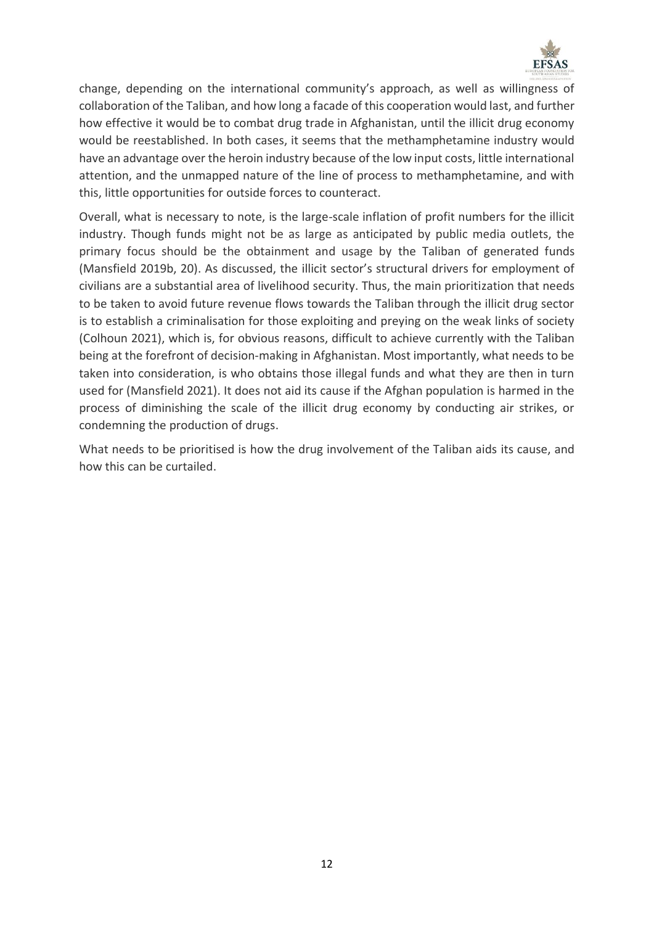

change, depending on the international community's approach, as well as willingness of collaboration of the Taliban, and how long a facade of this cooperation would last, and further how effective it would be to combat drug trade in Afghanistan, until the illicit drug economy would be reestablished. In both cases, it seems that the methamphetamine industry would have an advantage over the heroin industry because of the low input costs, little international attention, and the unmapped nature of the line of process to methamphetamine, and with this, little opportunities for outside forces to counteract.

Overall, what is necessary to note, is the large-scale inflation of profit numbers for the illicit industry. Though funds might not be as large as anticipated by public media outlets, the primary focus should be the obtainment and usage by the Taliban of generated funds (Mansfield 2019b, 20). As discussed, the illicit sector's structural drivers for employment of civilians are a substantial area of livelihood security. Thus, the main prioritization that needs to be taken to avoid future revenue flows towards the Taliban through the illicit drug sector is to establish a criminalisation for those exploiting and preying on the weak links of society (Colhoun 2021), which is, for obvious reasons, difficult to achieve currently with the Taliban being at the forefront of decision-making in Afghanistan. Most importantly, what needs to be taken into consideration, is who obtains those illegal funds and what they are then in turn used for (Mansfield 2021). It does not aid its cause if the Afghan population is harmed in the process of diminishing the scale of the illicit drug economy by conducting air strikes, or condemning the production of drugs.

What needs to be prioritised is how the drug involvement of the Taliban aids its cause, and how this can be curtailed.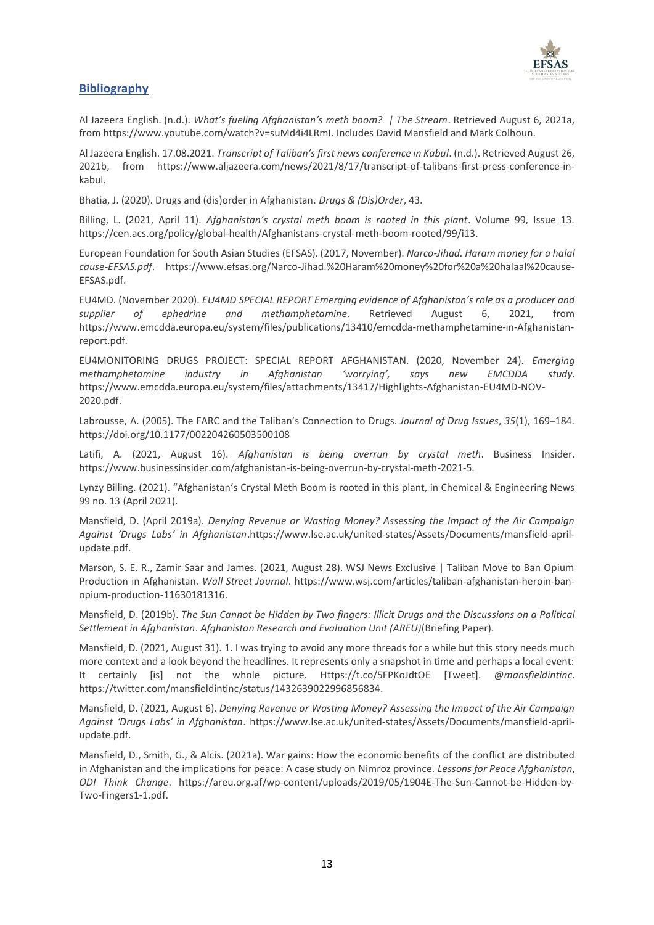

#### **Bibliography**

Al Jazeera English. (n.d.). *What's fueling Afghanistan's meth boom? | The Stream*. Retrieved August 6, 2021a, from [https://www.youtube.com/watch?v=suMd4i4LRmI.](https://www.youtube.com/watch?v=suMd4i4LRmI) Includes David Mansfield and Mark Colhoun.

Al Jazeera English. 17.08.2021. *Transcript of Taliban's first news conference in Kabul*. (n.d.). Retrieved August 26, 2021b, from [https://www.aljazeera.com/news/2021/8/17/transcript-of-talibans-first-press-conference-in](https://www.aljazeera.com/news/2021/8/17/transcript-of-talibans-first-press-conference-in-kabul)[kabul.](https://www.aljazeera.com/news/2021/8/17/transcript-of-talibans-first-press-conference-in-kabul)

Bhatia, J. (2020). Drugs and (dis)order in Afghanistan. *Drugs & (Dis)Order*, 43.

Billing, L. (2021, April 11). *Afghanistan's crystal meth boom is rooted in this plant*. Volume 99, Issue 13. [https://cen.acs.org/policy/global-health/Afghanistans-crystal-meth-boom-rooted/99/i13.](https://cen.acs.org/policy/global-health/Afghanistans-crystal-meth-boom-rooted/99/i13)

European Foundation for South Asian Studies (EFSAS). (2017, November). *Narco-Jihad. Haram money for a halal cause-EFSAS.pdf*. [https://www.efsas.org/Narco-Jihad.%20Haram%20money%20for%20a%20halaal%20cause-](https://www.efsas.org/Narco-Jihad.%20Haram%20money%20for%20a%20halaal%20cause-EFSAS.pdf)[EFSAS.pdf.](https://www.efsas.org/Narco-Jihad.%20Haram%20money%20for%20a%20halaal%20cause-EFSAS.pdf)

EU4MD. (November 2020). *EU4MD SPECIAL REPORT Emerging evidence of Afghanistan's role as a producer and supplier of ephedrine and methamphetamine*. Retrieved August 6, 2021, from [https://www.emcdda.europa.eu/system/files/publications/13410/emcdda-methamphetamine-in-Afghanistan](https://www.emcdda.europa.eu/system/files/publications/13410/emcdda-methamphetamine-in-Afghanistan-report.pdf)[report.pdf.](https://www.emcdda.europa.eu/system/files/publications/13410/emcdda-methamphetamine-in-Afghanistan-report.pdf)

EU4MONITORING DRUGS PROJECT: SPECIAL REPORT AFGHANISTAN. (2020, November 24). *Emerging methamphetamine industry in Afghanistan 'worrying', says new EMCDDA study*. [https://www.emcdda.europa.eu/system/files/attachments/13417/Highlights-Afghanistan-EU4MD-NOV-](https://www.emcdda.europa.eu/system/files/attachments/13417/Highlights-Afghanistan-EU4MD-NOV-2020.pdf)[2020.pdf.](https://www.emcdda.europa.eu/system/files/attachments/13417/Highlights-Afghanistan-EU4MD-NOV-2020.pdf) 

Labrousse, A. (2005). The FARC and the Taliban's Connection to Drugs. *Journal of Drug Issues*, *35*(1), 169–184. <https://doi.org/10.1177/002204260503500108>

Latifi, A. (2021, August 16). *Afghanistan is being overrun by crystal meth*. Business Insider. [https://www.businessinsider.com/afghanistan-is-being-overrun-by-crystal-meth-2021-5.](https://www.businessinsider.com/afghanistan-is-being-overrun-by-crystal-meth-2021-5)

Lynzy Billing. (2021). "Afghanistan's Crystal Meth Boom is rooted in this plant, in Chemical & Engineering News 99 no. 13 (April 2021).

Mansfield, D. (April 2019a). *Denying Revenue or Wasting Money? Assessing the Impact of the Air Campaign Against 'Drugs Labs' in Afghanistan*.https://www.lse.ac.uk/united-states/Assets/Documents/mansfield-aprilupdate.pdf.

Marson, S. E. R., Zamir Saar and James. (2021, August 28). WSJ News Exclusive | Taliban Move to Ban Opium Production in Afghanistan. *Wall Street Journal*[. https://www.wsj.com/articles/taliban-afghanistan-heroin-ban](https://www.wsj.com/articles/taliban-afghanistan-heroin-ban-opium-production-11630181316)[opium-production-11630181316.](https://www.wsj.com/articles/taliban-afghanistan-heroin-ban-opium-production-11630181316)

Mansfield, D. (2019b). *The Sun Cannot be Hidden by Two fingers: Illicit Drugs and the Discussions on a Political Settlement in Afghanistan*. *Afghanistan Research and Evaluation Unit (AREU)*(Briefing Paper).

Mansfield, D. (2021, August 31). 1. I was trying to avoid any more threads for a while but this story needs much more context and a look beyond the headlines. It represents only a snapshot in time and perhaps a local event: It certainly [is] not the whole picture. [Https://t.co/5FPKoJdtOE](https://t.co/5FPKoJdtOE) [Tweet]. *@mansfieldintinc*. [https://twitter.com/mansfieldintinc/status/1432639022996856834.](https://twitter.com/mansfieldintinc/status/1432639022996856834)

Mansfield, D. (2021, August 6). *Denying Revenue or Wasting Money? Assessing the Impact of the Air Campaign Against 'Drugs Labs' in Afghanistan*. [https://www.lse.ac.uk/united-states/Assets/Documents/mansfield-april](https://www.lse.ac.uk/united-states/Assets/Documents/mansfield-april-update.pdf)[update.pdf.](https://www.lse.ac.uk/united-states/Assets/Documents/mansfield-april-update.pdf)

Mansfield, D., Smith, G., & Alcis. (2021a). War gains: How the economic benefits of the conflict are distributed in Afghanistan and the implications for peace: A case study on Nimroz province. *Lessons for Peace Afghanistan*, *ODI Think Change*. [https://areu.org.af/wp-content/uploads/2019/05/1904E-The-Sun-Cannot-be-Hidden-by-](https://areu.org.af/wp-content/uploads/2019/05/1904E-The-Sun-Cannot-be-Hidden-by-Two-Fingers1-1.pdf)[Two-Fingers1-1.pdf.](https://areu.org.af/wp-content/uploads/2019/05/1904E-The-Sun-Cannot-be-Hidden-by-Two-Fingers1-1.pdf)